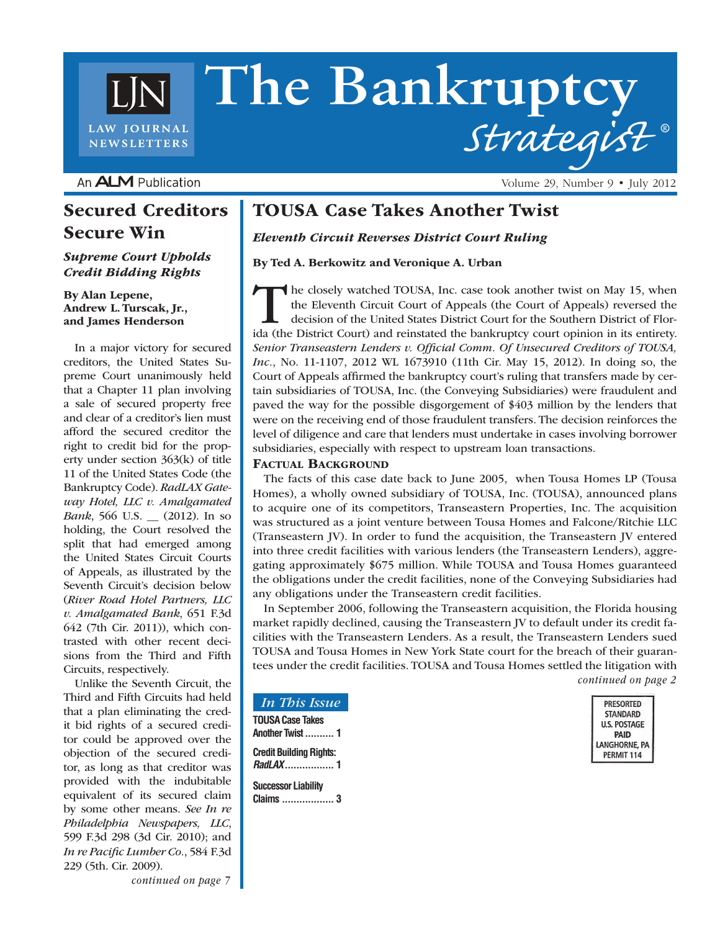# **The Bankruptcy** *Strategist* **® LAW JOURNAL NEWSLETTERS**

An **ALM** Publication

## Secured Creditors Secure Win

*Supreme Court Upholds Credit Bidding Rights*

By Alan Lepene, Andrew L. Turscak, Jr., and James Henderson

In a major victory for secured creditors, the United States Supreme Court unanimously held that a Chapter 11 plan involving a sale of secured property free and clear of a creditor's lien must afford the secured creditor the right to credit bid for the property under section 363(k) of title 11 of the United States Code (the Bankruptcy Code). *RadLAX Gateway Hotel, LLC v. Amalgamated Bank*, 566 U.S. \_\_ (2012). In so holding, the Court resolved the split that had emerged among the United States Circuit Courts of Appeals, as illustrated by the Seventh Circuit's decision below (*River Road Hotel Partners, LLC v. Amalgamated Bank*, 651 F.3d 642 (7th Cir. 2011)), which contrasted with other recent decisions from the Third and Fifth Circuits, respectively.

Unlike the Seventh Circuit, the Third and Fifth Circuits had held that a plan eliminating the credit bid rights of a secured creditor could be approved over the objection of the secured creditor, as long as that creditor was provided with the indubitable equivalent of its secured claim by some other means. *See In re Philadelphia Newspapers, LLC*, 599 F.3d 298 (3d Cir. 2010); and *In re Pacific Lumber Co.*, 584 F.3d 229 (5th. Cir. 2009).

TOUSA Case Takes Another Twist

*Eleventh Circuit Reverses District Court Ruling*

By Ted A. Berkowitz and Veronique A. Urban

The closely watched TOUSA, Inc. case took another twist on May 15, when the Eleventh Circuit Court of Appeals (the Court of Appeals) reversed the decision of the United States District Court for the Southern District of Florida (the District Court) and reinstated the bankruptcy court opinion in its entirety. *Senior Transeastern Lenders v. Official Comm. Of Unsecured Creditors of TOUSA, Inc.*, No. 11-1107, 2012 WL 1673910 (11th Cir. May 15, 2012). In doing so, the Court of Appeals affirmed the bankruptcy court's ruling that transfers made by certain subsidiaries of TOUSA, Inc. (the Conveying Subsidiaries) were fraudulent and paved the way for the possible disgorgement of \$403 million by the lenders that were on the receiving end of those fraudulent transfers. The decision reinforces the level of diligence and care that lenders must undertake in cases involving borrower subsidiaries, especially with respect to upstream loan transactions.

#### FACTUAL BACKGROUND

The facts of this case date back to June 2005, when Tousa Homes LP (Tousa Homes), a wholly owned subsidiary of TOUSA, Inc. (TOUSA), announced plans to acquire one of its competitors, Transeastern Properties, Inc. The acquisition was structured as a joint venture between Tousa Homes and Falcone/Ritchie LLC (Transeastern JV). In order to fund the acquisition, the Transeastern JV entered into three credit facilities with various lenders (the Transeastern Lenders), aggregating approximately \$675 million. While TOUSA and Tousa Homes guaranteed the obligations under the credit facilities, none of the Conveying Subsidiaries had any obligations under the Transeastern credit facilities.

In September 2006, following the Transeastern acquisition, the Florida housing market rapidly declined, causing the Transeastern JV to default under its credit facilities with the Transeastern Lenders. As a result, the Transeastern Lenders sued TOUSA and Tousa Homes in New York State court for the breach of their guarantees under the credit facilities. TOUSA and Tousa Homes settled the litigation with *continued on page 2*

> **PRESORTED STANDARD U.S. POSTAGE** PAID LANGHORNE, PA **PERMIT 114**

Volume 29, Number 9 • July 2012

*In This Issue*

**TOUSA Case Takes Another Twist.......... 1 Credit Building Rights:**  *RadLAX***................. 1**

**Successor Liability Claims .................. 3**

*continued on page 7*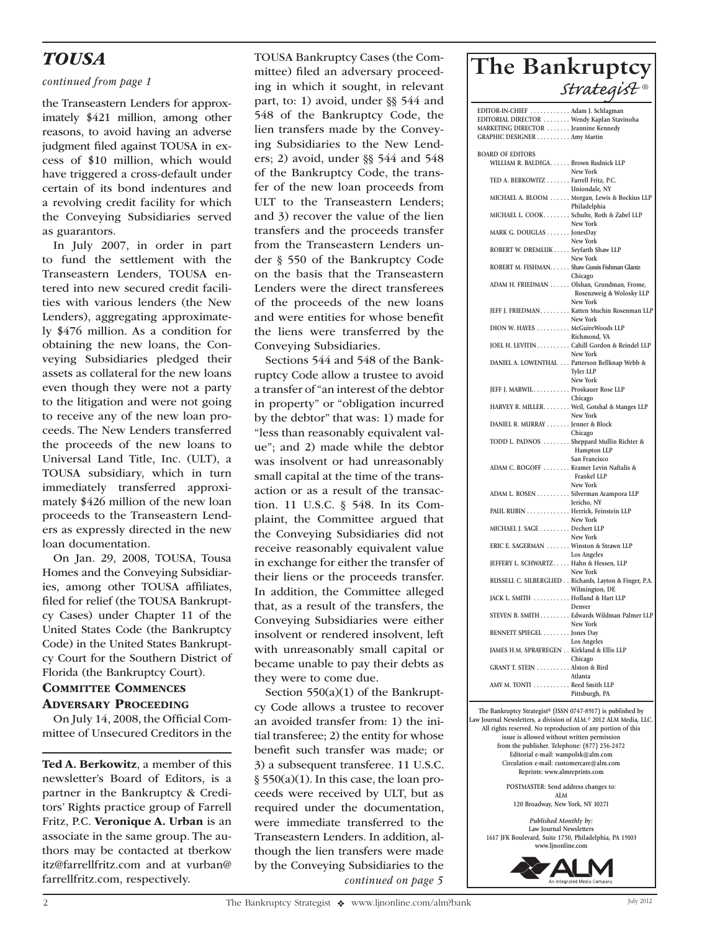## *TOUSA*

#### *continued from page 1*

the Transeastern Lenders for approximately \$421 million, among other reasons, to avoid having an adverse judgment filed against TOUSA in excess of \$10 million, which would have triggered a cross-default under certain of its bond indentures and a revolving credit facility for which the Conveying Subsidiaries served as guarantors.

In July 2007, in order in part to fund the settlement with the Transeastern Lenders, TOUSA entered into new secured credit facilities with various lenders (the New Lenders), aggregating approximately \$476 million. As a condition for obtaining the new loans, the Conveying Subsidiaries pledged their assets as collateral for the new loans even though they were not a party to the litigation and were not going to receive any of the new loan proceeds. The New Lenders transferred the proceeds of the new loans to Universal Land Title, Inc. (ULT), a TOUSA subsidiary, which in turn immediately transferred approximately \$426 million of the new loan proceeds to the Transeastern Lenders as expressly directed in the new loan documentation.

On Jan. 29, 2008, TOUSA, Tousa Homes and the Conveying Subsidiaries, among other TOUSA affiliates, filed for relief (the TOUSA Bankruptcy Cases) under Chapter 11 of the United States Code (the Bankruptcy Code) in the United States Bankruptcy Court for the Southern District of Florida (the Bankruptcy Court).

#### **COMMITTEE COMMENCES** Adversary Proceeding

On July 14, 2008, the Official Committee of Unsecured Creditors in the

Ted A. Berkowitz, a member of this newsletter's Board of Editors, is a partner in the Bankruptcy & Creditors' Rights practice group of Farrell Fritz, P.C. Veronique A. Urban is an associate in the same group. The authors may be contacted at tberkow itz@farrellfritz.com and at vurban@ farrellfritz.com, respectively.

TOUSA Bankruptcy Cases (the Committee) filed an adversary proceeding in which it sought, in relevant part, to: 1) avoid, under §§ 544 and 548 of the Bankruptcy Code, the lien transfers made by the Conveying Subsidiaries to the New Lenders; 2) avoid, under §§ 544 and 548 of the Bankruptcy Code, the transfer of the new loan proceeds from ULT to the Transeastern Lenders; and 3) recover the value of the lien transfers and the proceeds transfer from the Transeastern Lenders under § 550 of the Bankruptcy Code on the basis that the Transeastern Lenders were the direct transferees of the proceeds of the new loans and were entities for whose benefit the liens were transferred by the Conveying Subsidiaries.

Sections 544 and 548 of the Bankruptcy Code allow a trustee to avoid a transfer of "an interest of the debtor in property" or "obligation incurred by the debtor" that was: 1) made for "less than reasonably equivalent value"; and 2) made while the debtor was insolvent or had unreasonably small capital at the time of the transaction or as a result of the transaction. 11 U.S.C. § 548. In its Complaint, the Committee argued that the Conveying Subsidiaries did not receive reasonably equivalent value in exchange for either the transfer of their liens or the proceeds transfer. In addition, the Committee alleged that, as a result of the transfers, the Conveying Subsidiaries were either insolvent or rendered insolvent, left with unreasonably small capital or became unable to pay their debts as they were to come due.

Section 550(a)(1) of the Bankruptcy Code allows a trustee to recover an avoided transfer from: 1) the initial transferee; 2) the entity for whose benefit such transfer was made; or 3) a subsequent transferee. 11 U.S.C. § 550(a)(1). In this case, the loan proceeds were received by ULT, but as required under the documentation, were immediate transferred to the Transeastern Lenders. In addition, although the lien transfers were made by the Conveying Subsidiaries to the *continued on page 5*

# **The Bankruptcy**  *Strategist ®*

| EDITOR-IN-CHIEF  Adam J. Schlagman                                                                         |                                                        |
|------------------------------------------------------------------------------------------------------------|--------------------------------------------------------|
| EDITORIAL DIRECTOR  Wendy Kaplan Stavinoha                                                                 |                                                        |
| MARKETING DIRECTOR Jeannine Kennedy                                                                        |                                                        |
| GRAPHIC DESIGNER Amy Martin                                                                                |                                                        |
| <b>BOARD OF EDITORS</b>                                                                                    |                                                        |
| WILLIAM R. BALDIGA. Brown Rudnick LLP                                                                      |                                                        |
|                                                                                                            | New York                                               |
| TED A. BERKOWITZ Farrell Fritz, P.C.                                                                       |                                                        |
|                                                                                                            | Uniondale, NY                                          |
|                                                                                                            | MICHAEL A. BLOOM Morgan, Lewis & Bockius LLP           |
|                                                                                                            | Philadelphia                                           |
|                                                                                                            | MICHAEL L. COOK Schulte, Roth & Zabel LLP<br>New York  |
| MARK G. DOUGLAS JonesDay                                                                                   |                                                        |
|                                                                                                            | New York                                               |
| ROBERT W. DREMLUK Seyfarth Shaw LLP                                                                        |                                                        |
|                                                                                                            | New York                                               |
|                                                                                                            | ROBERT M. FISHMAN. Shaw Gussis Fishman Glantz          |
|                                                                                                            | Chicago                                                |
|                                                                                                            | ADAM H. FRIEDMAN Olshan, Grundman, Frome,              |
|                                                                                                            | Rosenzweig & Wolosky LLP<br>New York                   |
|                                                                                                            | JEFF J. FRIEDMAN Katten Muchin Rosenman LLP            |
|                                                                                                            | New York                                               |
| DION W. HAYES McGuireWoods LLP                                                                             |                                                        |
|                                                                                                            | Richmond, VA                                           |
|                                                                                                            | JOEL H. LEVITIN Cahill Gordon & Reindel LLP            |
|                                                                                                            | New York                                               |
|                                                                                                            | DANIEL A. LOWENTHAL  Patterson Bellknap Webb &         |
|                                                                                                            | Tyler LLP<br>New York                                  |
| JEFF J. MARWIL Proskauer Rose LLP                                                                          |                                                        |
|                                                                                                            | Chicago                                                |
|                                                                                                            | HARVEY R. MILLER. Weil, Gotshal & Manges LLP           |
|                                                                                                            | New York                                               |
| DANIEL R. MURRAY Jenner & Block                                                                            |                                                        |
|                                                                                                            | Chicago                                                |
|                                                                                                            | TODD L. PADNOS  Sheppard Mullin Richter &              |
|                                                                                                            | Hampton LLP<br>San Francisco                           |
|                                                                                                            | ADAM C. ROGOFF  Kramer Levin Naftalis &                |
|                                                                                                            | Frankel LLP                                            |
|                                                                                                            | New York                                               |
|                                                                                                            | ADAM L. ROSEN Silverman Acampora LLP                   |
|                                                                                                            | Jericho, NY                                            |
|                                                                                                            | PAUL RUBIN Herrick, Feinstein LLP                      |
| MICHAEL J. SAGE Dechert LLP                                                                                | New York                                               |
|                                                                                                            | New York                                               |
|                                                                                                            | ERIC E. SAGERMAN  Winston & Strawn LLP                 |
|                                                                                                            | Los Angeles                                            |
|                                                                                                            | JEFFERY L. SCHWARTZ Hahn & Hessen, LLP                 |
|                                                                                                            | New York                                               |
|                                                                                                            | RUSSELL C. SILBERGLIED Richards, Layton & Finger, P.A. |
| JACK L. SMITH Holland & Hart LLP                                                                           | Wilmington, DE                                         |
|                                                                                                            | Denver                                                 |
|                                                                                                            | STEVEN B. SMITH Edwards Wildman Palmer LLP             |
|                                                                                                            | New York                                               |
| BENNETT SPIEGEL Jones Day                                                                                  |                                                        |
|                                                                                                            | Los Angeles                                            |
| JAMES H.M. SPRAYREGEN Kirkland & Ellis LLP                                                                 |                                                        |
|                                                                                                            | Chicago                                                |
| GRANT T. STEIN Alston & Bird                                                                               | Atlanta                                                |
| AMY M. TONTI Reed Smith LLP                                                                                |                                                        |
|                                                                                                            | Pittsburgh, PA                                         |
|                                                                                                            |                                                        |
| The Bankruptcy Strategist® (ISSN 0747-8917) is published by                                                |                                                        |
| Law Journal Newsletters, a division of ALM. <sup>®</sup> 2012 ALM Media, LLC.                              |                                                        |
| All rights reserved. No reproduction of any portion of this<br>issue is allowed without written permission |                                                        |
| from the publisher. Telephone: (877) 256-2472                                                              |                                                        |
| Editorial e-mail: wampolsk@alm.com                                                                         |                                                        |
| Circulation e-mail: customercare@alm.com                                                                   |                                                        |
| Reprints: www.almreprints.com                                                                              |                                                        |

**POSTMASTER: Send address changes to: ALM**

**120 Broadway, New York, NY 10271**

*Published Monthly by:* **Law Journal Newsletters 1617 JFK Boulevard, Suite 1750, Philadelphia, PA 19103 www.ljnonline.com**

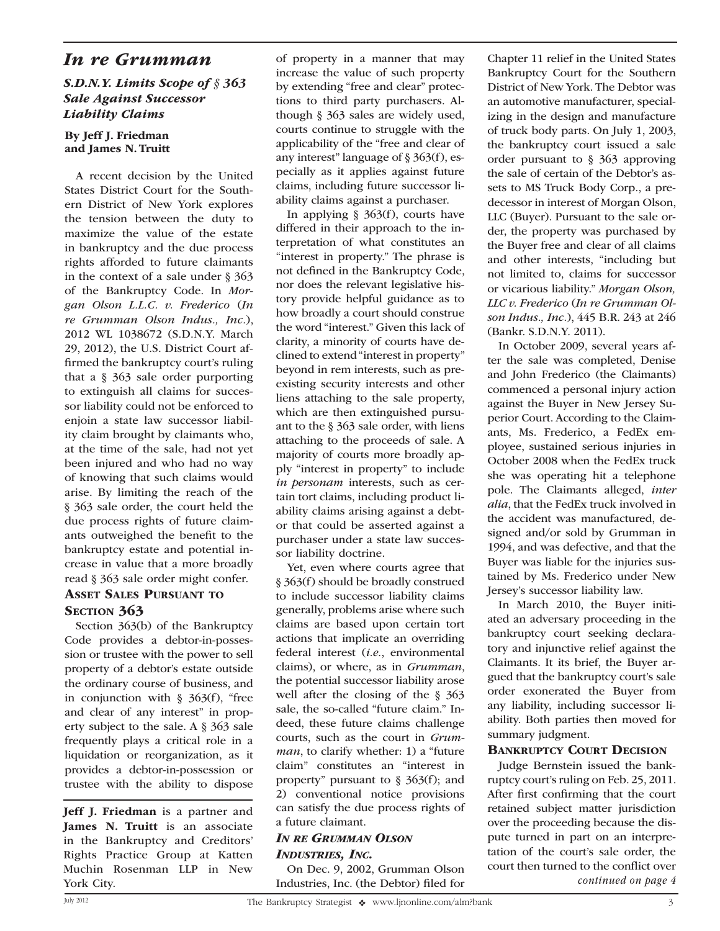## *In re Grumman*

### *S.D.N.Y. Limits Scope of § 363 Sale Against Successor Liability Claims*

#### By Jeff J. Friedman and James N. Truitt

A recent decision by the United States District Court for the Southern District of New York explores the tension between the duty to maximize the value of the estate in bankruptcy and the due process rights afforded to future claimants in the context of a sale under § 363 of the Bankruptcy Code. In *Morgan Olson L.L.C. v. Frederico* (*In re Grumman Olson Indus., Inc.*), 2012 WL 1038672 (S.D.N.Y. March 29, 2012), the U.S. District Court affirmed the bankruptcy court's ruling that a § 363 sale order purporting to extinguish all claims for successor liability could not be enforced to enjoin a state law successor liability claim brought by claimants who, at the time of the sale, had not yet been injured and who had no way of knowing that such claims would arise. By limiting the reach of the § 363 sale order, the court held the due process rights of future claimants outweighed the benefit to the bankruptcy estate and potential increase in value that a more broadly read § 363 sale order might confer.

### Asset Sales Pursuant to SECTION 363

Section 363(b) of the Bankruptcy Code provides a debtor-in-possession or trustee with the power to sell property of a debtor's estate outside the ordinary course of business, and in conjunction with  $\S$  363(f), "free and clear of any interest" in property subject to the sale. A § 363 sale frequently plays a critical role in a liquidation or reorganization, as it provides a debtor-in-possession or trustee with the ability to dispose

Jeff J. Friedman is a partner and James N. Truitt is an associate in the Bankruptcy and Creditors' Rights Practice Group at Katten Muchin Rosenman LLP in New of property in a manner that may increase the value of such property by extending "free and clear" protections to third party purchasers. Although § 363 sales are widely used, courts continue to struggle with the applicability of the "free and clear of any interest" language of § 363(f), especially as it applies against future claims, including future successor liability claims against a purchaser.

In applying  $\S$  363(f), courts have differed in their approach to the interpretation of what constitutes an "interest in property." The phrase is not defined in the Bankruptcy Code, nor does the relevant legislative history provide helpful guidance as to how broadly a court should construe the word "interest." Given this lack of clarity, a minority of courts have declined to extend "interest in property" beyond in rem interests, such as preexisting security interests and other liens attaching to the sale property, which are then extinguished pursuant to the § 363 sale order, with liens attaching to the proceeds of sale. A majority of courts more broadly apply "interest in property" to include *in personam* interests, such as certain tort claims, including product liability claims arising against a debtor that could be asserted against a purchaser under a state law successor liability doctrine.

Yet, even where courts agree that § 363(f) should be broadly construed to include successor liability claims generally, problems arise where such claims are based upon certain tort actions that implicate an overriding federal interest (*i.e.*, environmental claims), or where, as in *Grumman*, the potential successor liability arose well after the closing of the § 363 sale, the so-called "future claim." Indeed, these future claims challenge courts, such as the court in *Grumman*, to clarify whether: 1) a "future claim" constitutes an "interest in property" pursuant to  $\S$  363(f); and 2) conventional notice provisions can satisfy the due process rights of a future claimant.

#### *In re Grumman Olson Industries, Inc.*

On Dec. 9, 2002, Grumman Olson Industries, Inc. (the Debtor) filed for York City. *continued on page 4*

Chapter 11 relief in the United States Bankruptcy Court for the Southern District of New York. The Debtor was an automotive manufacturer, specializing in the design and manufacture of truck body parts. On July 1, 2003, the bankruptcy court issued a sale order pursuant to § 363 approving the sale of certain of the Debtor's assets to MS Truck Body Corp., a predecessor in interest of Morgan Olson, LLC (Buyer). Pursuant to the sale order, the property was purchased by the Buyer free and clear of all claims and other interests, "including but not limited to, claims for successor or vicarious liability." *Morgan Olson, LLC v. Frederico* (*In re Grumman Olson Indus., Inc.*), 445 B.R. 243 at 246 (Bankr. S.D.N.Y. 2011).

In October 2009, several years after the sale was completed, Denise and John Frederico (the Claimants) commenced a personal injury action against the Buyer in New Jersey Superior Court. According to the Claimants, Ms. Frederico, a FedEx employee, sustained serious injuries in October 2008 when the FedEx truck she was operating hit a telephone pole. The Claimants alleged, *inter alia*, that the FedEx truck involved in the accident was manufactured, designed and/or sold by Grumman in 1994, and was defective, and that the Buyer was liable for the injuries sustained by Ms. Frederico under New Jersey's successor liability law.

In March 2010, the Buyer initiated an adversary proceeding in the bankruptcy court seeking declaratory and injunctive relief against the Claimants. It its brief, the Buyer argued that the bankruptcy court's sale order exonerated the Buyer from any liability, including successor liability. Both parties then moved for summary judgment.

#### Bankruptcy Court Decision

Judge Bernstein issued the bankruptcy court's ruling on Feb. 25, 2011. After first confirming that the court retained subject matter jurisdiction over the proceeding because the dispute turned in part on an interpretation of the court's sale order, the court then turned to the conflict over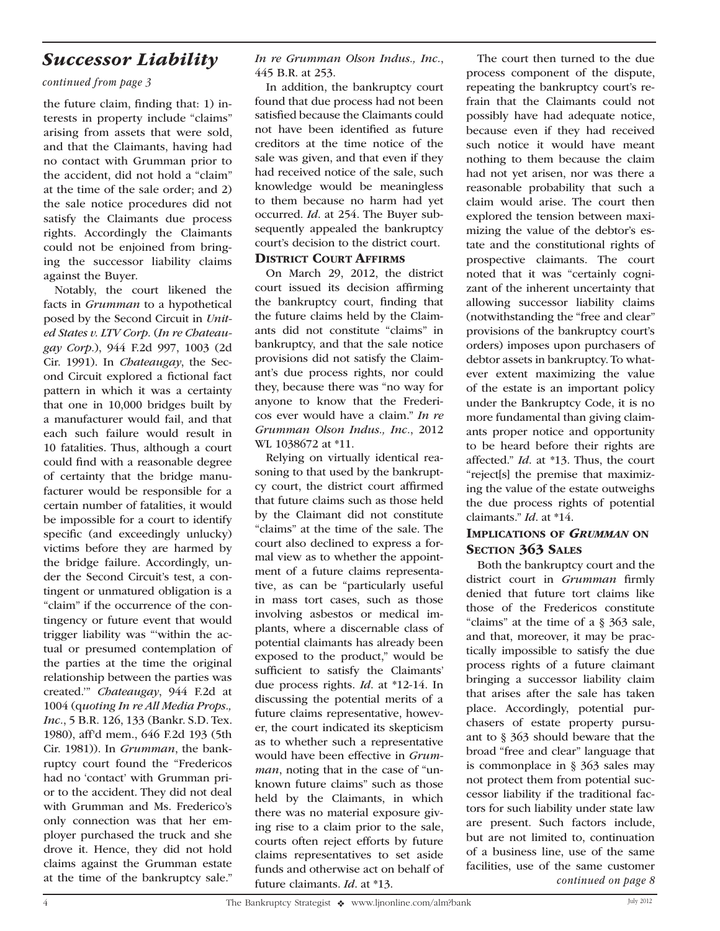## *Successor Liability*

#### *continued from page 3*

the future claim, finding that: 1) interests in property include "claims" arising from assets that were sold, and that the Claimants, having had no contact with Grumman prior to the accident, did not hold a "claim" at the time of the sale order; and 2) the sale notice procedures did not satisfy the Claimants due process rights. Accordingly the Claimants could not be enjoined from bringing the successor liability claims against the Buyer.

Notably, the court likened the facts in *Grumman* to a hypothetical posed by the Second Circuit in *United States v. LTV Corp.* (*In re Chateaugay Corp.*), 944 F.2d 997, 1003 (2d Cir. 1991). In *Chateaugay*, the Second Circuit explored a fictional fact pattern in which it was a certainty that one in 10,000 bridges built by a manufacturer would fail, and that each such failure would result in 10 fatalities. Thus, although a court could find with a reasonable degree of certainty that the bridge manufacturer would be responsible for a certain number of fatalities, it would be impossible for a court to identify specific (and exceedingly unlucky) victims before they are harmed by the bridge failure. Accordingly, under the Second Circuit's test, a contingent or unmatured obligation is a "claim" if the occurrence of the contingency or future event that would trigger liability was "'within the actual or presumed contemplation of the parties at the time the original relationship between the parties was created.'" *Chateaugay*, 944 F.2d at 1004 (q*uoting In re All Media Props., Inc.*, 5 B.R. 126, 133 (Bankr. S.D. Tex. 1980), aff'd mem., 646 F.2d 193 (5th Cir. 1981)). In *Grumman*, the bankruptcy court found the "Fredericos had no 'contact' with Grumman prior to the accident. They did not deal with Grumman and Ms. Frederico's only connection was that her employer purchased the truck and she drove it. Hence, they did not hold claims against the Grumman estate at the time of the bankruptcy sale." *In re Grumman Olson Indus., Inc.*, 445 B.R. at 253.

In addition, the bankruptcy court found that due process had not been satisfied because the Claimants could not have been identified as future creditors at the time notice of the sale was given, and that even if they had received notice of the sale, such knowledge would be meaningless to them because no harm had yet occurred. *Id*. at 254. The Buyer subsequently appealed the bankruptcy court's decision to the district court.

### District Court Affirms

On March 29, 2012, the district court issued its decision affirming the bankruptcy court, finding that the future claims held by the Claimants did not constitute "claims" in bankruptcy, and that the sale notice provisions did not satisfy the Claimant's due process rights, nor could they, because there was "no way for anyone to know that the Fredericos ever would have a claim." *In re Grumman Olson Indus., Inc.*, 2012 WL 1038672 at \*11.

Relying on virtually identical reasoning to that used by the bankruptcy court, the district court affirmed that future claims such as those held by the Claimant did not constitute "claims" at the time of the sale. The court also declined to express a formal view as to whether the appointment of a future claims representative, as can be "particularly useful in mass tort cases, such as those involving asbestos or medical implants, where a discernable class of potential claimants has already been exposed to the product," would be sufficient to satisfy the Claimants' due process rights. *Id*. at \*12-14. In discussing the potential merits of a future claims representative, however, the court indicated its skepticism as to whether such a representative would have been effective in *Grumman*, noting that in the case of "unknown future claims" such as those held by the Claimants, in which there was no material exposure giving rise to a claim prior to the sale, courts often reject efforts by future claims representatives to set aside funds and otherwise act on behalf of future claimants. *Id*. at \*13.

The court then turned to the due process component of the dispute, repeating the bankruptcy court's refrain that the Claimants could not possibly have had adequate notice, because even if they had received such notice it would have meant nothing to them because the claim had not yet arisen, nor was there a reasonable probability that such a claim would arise. The court then explored the tension between maximizing the value of the debtor's estate and the constitutional rights of prospective claimants. The court noted that it was "certainly cognizant of the inherent uncertainty that allowing successor liability claims (notwithstanding the "free and clear" provisions of the bankruptcy court's orders) imposes upon purchasers of debtor assets in bankruptcy. To whatever extent maximizing the value of the estate is an important policy under the Bankruptcy Code, it is no more fundamental than giving claimants proper notice and opportunity to be heard before their rights are affected." *Id*. at \*13. Thus, the court "reject[s] the premise that maximizing the value of the estate outweighs the due process rights of potential claimants." *Id*. at \*14.

## Implications of *Grumman* on SECTION 363 SALES

Both the bankruptcy court and the district court in *Grumman* firmly denied that future tort claims like those of the Fredericos constitute "claims" at the time of a § 363 sale, and that, moreover, it may be practically impossible to satisfy the due process rights of a future claimant bringing a successor liability claim that arises after the sale has taken place. Accordingly, potential purchasers of estate property pursuant to § 363 should beware that the broad "free and clear" language that is commonplace in § 363 sales may not protect them from potential successor liability if the traditional factors for such liability under state law are present. Such factors include, but are not limited to, continuation of a business line, use of the same facilities, use of the same customer *continued on page 8*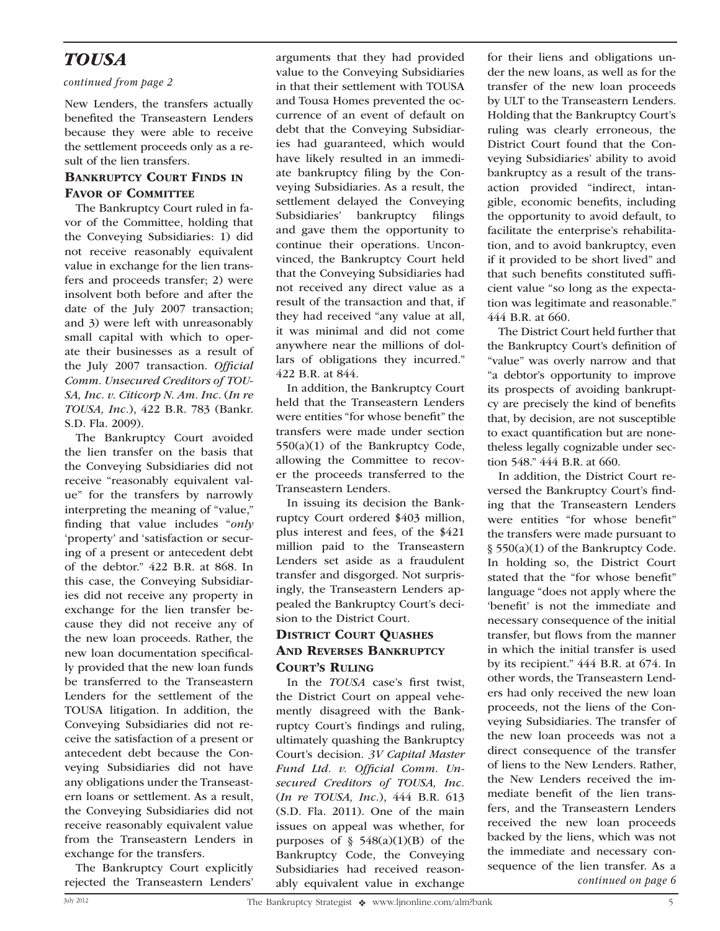## *TOUSA*

#### *continued from page 2*

New Lenders, the transfers actually benefited the Transeastern Lenders because they were able to receive the settlement proceeds only as a result of the lien transfers.

### Bankruptcy Court Finds in FAVOR OF COMMITTEE

The Bankruptcy Court ruled in favor of the Committee, holding that the Conveying Subsidiaries: 1) did not receive reasonably equivalent value in exchange for the lien transfers and proceeds transfer; 2) were insolvent both before and after the date of the July 2007 transaction; and 3) were left with unreasonably small capital with which to operate their businesses as a result of the July 2007 transaction. *Official Comm. Unsecured Creditors of TOU-SA, Inc. v. Citicorp N. Am. Inc*. (*In re TOUSA, Inc.*), 422 B.R. 783 (Bankr. S.D. Fla. 2009).

The Bankruptcy Court avoided the lien transfer on the basis that the Conveying Subsidiaries did not receive "reasonably equivalent value" for the transfers by narrowly interpreting the meaning of "value," finding that value includes "*only* 'property' and 'satisfaction or securing of a present or antecedent debt of the debtor." 422 B.R. at 868. In this case, the Conveying Subsidiaries did not receive any property in exchange for the lien transfer because they did not receive any of the new loan proceeds. Rather, the new loan documentation specifically provided that the new loan funds be transferred to the Transeastern Lenders for the settlement of the TOUSA litigation. In addition, the Conveying Subsidiaries did not receive the satisfaction of a present or antecedent debt because the Conveying Subsidiaries did not have any obligations under the Transeastern loans or settlement. As a result, the Conveying Subsidiaries did not receive reasonably equivalent value from the Transeastern Lenders in exchange for the transfers.

The Bankruptcy Court explicitly rejected the Transeastern Lenders' arguments that they had provided value to the Conveying Subsidiaries in that their settlement with TOUSA and Tousa Homes prevented the occurrence of an event of default on debt that the Conveying Subsidiaries had guaranteed, which would have likely resulted in an immediate bankruptcy filing by the Conveying Subsidiaries. As a result, the settlement delayed the Conveying Subsidiaries' bankruptcy filings and gave them the opportunity to continue their operations. Unconvinced, the Bankruptcy Court held that the Conveying Subsidiaries had not received any direct value as a result of the transaction and that, if they had received "any value at all, it was minimal and did not come anywhere near the millions of dollars of obligations they incurred." 422 B.R. at 844.

In addition, the Bankruptcy Court held that the Transeastern Lenders were entities "for whose benefit" the transfers were made under section 550(a)(1) of the Bankruptcy Code, allowing the Committee to recover the proceeds transferred to the Transeastern Lenders.

In issuing its decision the Bankruptcy Court ordered \$403 million, plus interest and fees, of the \$421 million paid to the Transeastern Lenders set aside as a fraudulent transfer and disgorged. Not surprisingly, the Transeastern Lenders appealed the Bankruptcy Court's decision to the District Court.

## District Court Quashes And Reverses Bankruptcy Court's Ruling

In the *TOUSA* case's first twist, the District Court on appeal vehemently disagreed with the Bankruptcy Court's findings and ruling, ultimately quashing the Bankruptcy Court's decision. *3V Capital Master Fund Ltd. v. Official Comm. Unsecured Creditors of TOUSA, Inc.* (*In re TOUSA, Inc.*), 444 B.R. 613 (S.D. Fla. 2011). One of the main issues on appeal was whether, for purposes of  $\S$  548(a)(1)(B) of the Bankruptcy Code, the Conveying Subsidiaries had received reasonably equivalent value in exchange for their liens and obligations under the new loans, as well as for the transfer of the new loan proceeds by ULT to the Transeastern Lenders. Holding that the Bankruptcy Court's ruling was clearly erroneous, the District Court found that the Conveying Subsidiaries' ability to avoid bankruptcy as a result of the transaction provided "indirect, intangible, economic benefits, including the opportunity to avoid default, to facilitate the enterprise's rehabilitation, and to avoid bankruptcy, even if it provided to be short lived" and that such benefits constituted sufficient value "so long as the expectation was legitimate and reasonable." 444 B.R. at 660.

The District Court held further that the Bankruptcy Court's definition of "value" was overly narrow and that "a debtor's opportunity to improve its prospects of avoiding bankruptcy are precisely the kind of benefits that, by decision, are not susceptible to exact quantification but are nonetheless legally cognizable under section 548." 444 B.R. at 660.

In addition, the District Court reversed the Bankruptcy Court's finding that the Transeastern Lenders were entities "for whose benefit" the transfers were made pursuant to § 550(a)(1) of the Bankruptcy Code. In holding so, the District Court stated that the "for whose benefit" language "does not apply where the 'benefit' is not the immediate and necessary consequence of the initial transfer, but flows from the manner in which the initial transfer is used by its recipient." 444 B.R. at 674. In other words, the Transeastern Lenders had only received the new loan proceeds, not the liens of the Conveying Subsidiaries. The transfer of the new loan proceeds was not a direct consequence of the transfer of liens to the New Lenders. Rather, the New Lenders received the immediate benefit of the lien transfers, and the Transeastern Lenders received the new loan proceeds backed by the liens, which was not the immediate and necessary consequence of the lien transfer. As a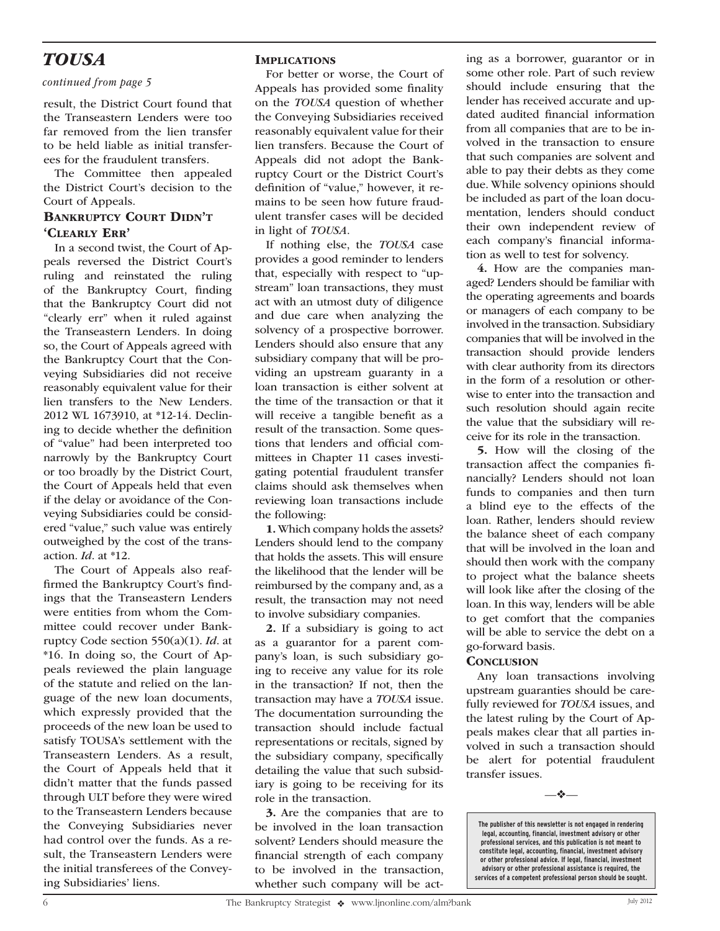## *TOUSA*

#### *continued from page 5*

result, the District Court found that the Transeastern Lenders were too far removed from the lien transfer to be held liable as initial transferees for the fraudulent transfers.

The Committee then appealed the District Court's decision to the Court of Appeals.

## BANKRUPTCY COURT DIDN'T 'Clearly Err'

In a second twist, the Court of Appeals reversed the District Court's ruling and reinstated the ruling of the Bankruptcy Court, finding that the Bankruptcy Court did not "clearly err" when it ruled against the Transeastern Lenders. In doing so, the Court of Appeals agreed with the Bankruptcy Court that the Conveying Subsidiaries did not receive reasonably equivalent value for their lien transfers to the New Lenders. 2012 WL 1673910, at \*12-14. Declining to decide whether the definition of "value" had been interpreted too narrowly by the Bankruptcy Court or too broadly by the District Court, the Court of Appeals held that even if the delay or avoidance of the Conveying Subsidiaries could be considered "value," such value was entirely outweighed by the cost of the transaction. *Id*. at \*12.

The Court of Appeals also reaffirmed the Bankruptcy Court's findings that the Transeastern Lenders were entities from whom the Committee could recover under Bankruptcy Code section 550(a)(1). *Id*. at \*16. In doing so, the Court of Appeals reviewed the plain language of the statute and relied on the language of the new loan documents, which expressly provided that the proceeds of the new loan be used to satisfy TOUSA's settlement with the Transeastern Lenders. As a result, the Court of Appeals held that it didn't matter that the funds passed through ULT before they were wired to the Transeastern Lenders because the Conveying Subsidiaries never had control over the funds. As a result, the Transeastern Lenders were the initial transferees of the Conveying Subsidiaries' liens.

### **IMPLICATIONS**

For better or worse, the Court of Appeals has provided some finality on the *TOUSA* question of whether the Conveying Subsidiaries received reasonably equivalent value for their lien transfers. Because the Court of Appeals did not adopt the Bankruptcy Court or the District Court's definition of "value," however, it remains to be seen how future fraudulent transfer cases will be decided in light of *TOUSA*.

If nothing else, the *TOUSA* case provides a good reminder to lenders that, especially with respect to "upstream" loan transactions, they must act with an utmost duty of diligence and due care when analyzing the solvency of a prospective borrower. Lenders should also ensure that any subsidiary company that will be providing an upstream guaranty in a loan transaction is either solvent at the time of the transaction or that it will receive a tangible benefit as a result of the transaction. Some questions that lenders and official committees in Chapter 11 cases investigating potential fraudulent transfer claims should ask themselves when reviewing loan transactions include the following:

1. Which company holds the assets? Lenders should lend to the company that holds the assets. This will ensure the likelihood that the lender will be reimbursed by the company and, as a result, the transaction may not need to involve subsidiary companies.

2. If a subsidiary is going to act as a guarantor for a parent company's loan, is such subsidiary going to receive any value for its role in the transaction? If not, then the transaction may have a *TOUSA* issue. The documentation surrounding the transaction should include factual representations or recitals, signed by the subsidiary company, specifically detailing the value that such subsidiary is going to be receiving for its role in the transaction.

3. Are the companies that are to be involved in the loan transaction solvent? Lenders should measure the financial strength of each company to be involved in the transaction, whether such company will be act-

ing as a borrower, guarantor or in some other role. Part of such review should include ensuring that the lender has received accurate and updated audited financial information from all companies that are to be involved in the transaction to ensure that such companies are solvent and able to pay their debts as they come due. While solvency opinions should be included as part of the loan documentation, lenders should conduct their own independent review of each company's financial information as well to test for solvency.

4. How are the companies managed? Lenders should be familiar with the operating agreements and boards or managers of each company to be involved in the transaction. Subsidiary companies that will be involved in the transaction should provide lenders with clear authority from its directors in the form of a resolution or otherwise to enter into the transaction and such resolution should again recite the value that the subsidiary will receive for its role in the transaction.

5. How will the closing of the transaction affect the companies financially? Lenders should not loan funds to companies and then turn a blind eye to the effects of the loan. Rather, lenders should review the balance sheet of each company that will be involved in the loan and should then work with the company to project what the balance sheets will look like after the closing of the loan. In this way, lenders will be able to get comfort that the companies will be able to service the debt on a go-forward basis.

#### **CONCLUSION**

Any loan transactions involving upstream guaranties should be carefully reviewed for *TOUSA* issues, and the latest ruling by the Court of Appeals makes clear that all parties involved in such a transaction should be alert for potential fraudulent transfer issues.

—❖—

**The publisher of this newsletter is not engaged in rendering legal, accounting, financial, investment advisory or other professional services, and this publication is not meant to constitute legal, accounting, financial, investment advisory or other professional advice. If legal, financial, investment advisory or other professional assistance is required, the services of a competent professional person should be sought.**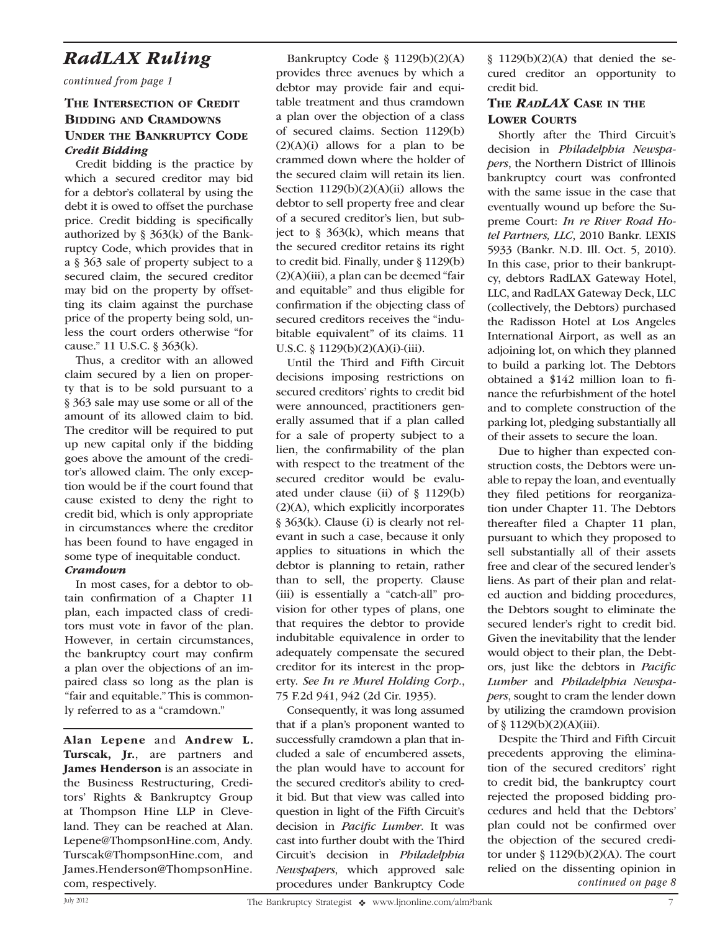## *RadLAX Ruling*

*continued from page 1*

## THE INTERSECTION OF CREDIT Bidding and Cramdowns Under the Bankruptcy Code *Credit Bidding*

Credit bidding is the practice by which a secured creditor may bid for a debtor's collateral by using the debt it is owed to offset the purchase price. Credit bidding is specifically authorized by  $\S$  363(k) of the Bankruptcy Code, which provides that in a § 363 sale of property subject to a secured claim, the secured creditor may bid on the property by offsetting its claim against the purchase price of the property being sold, unless the court orders otherwise "for cause." 11 U.S.C. § 363(k).

Thus, a creditor with an allowed claim secured by a lien on property that is to be sold pursuant to a § 363 sale may use some or all of the amount of its allowed claim to bid. The creditor will be required to put up new capital only if the bidding goes above the amount of the creditor's allowed claim. The only exception would be if the court found that cause existed to deny the right to credit bid, which is only appropriate in circumstances where the creditor has been found to have engaged in some type of inequitable conduct.

### *Cramdown*

In most cases, for a debtor to obtain confirmation of a Chapter 11 plan, each impacted class of creditors must vote in favor of the plan. However, in certain circumstances, the bankruptcy court may confirm a plan over the objections of an impaired class so long as the plan is "fair and equitable." This is commonly referred to as a "cramdown."

Alan Lepene and Andrew L. Turscak, Jr., are partners and James Henderson is an associate in the Business Restructuring, Creditors' Rights & Bankruptcy Group at Thompson Hine LLP in Cleveland. They can be reached at Alan. Lepene@ThompsonHine.com, Andy. Turscak@ThompsonHine.com, and James.Henderson@ThompsonHine.

Bankruptcy Code § 1129(b)(2)(A) provides three avenues by which a debtor may provide fair and equitable treatment and thus cramdown a plan over the objection of a class of secured claims. Section 1129(b)  $(2)(A)(i)$  allows for a plan to be crammed down where the holder of the secured claim will retain its lien. Section  $1129(b)(2)(A)(ii)$  allows the debtor to sell property free and clear of a secured creditor's lien, but subject to  $\S$  363(k), which means that the secured creditor retains its right to credit bid. Finally, under § 1129(b) (2)(A)(iii), a plan can be deemed "fair and equitable" and thus eligible for confirmation if the objecting class of secured creditors receives the "indubitable equivalent" of its claims. 11 U.S.C. § 1129(b)(2)(A)(i)-(iii).

Until the Third and Fifth Circuit decisions imposing restrictions on secured creditors' rights to credit bid were announced, practitioners generally assumed that if a plan called for a sale of property subject to a lien, the confirmability of the plan with respect to the treatment of the secured creditor would be evaluated under clause (ii) of § 1129(b) (2)(A), which explicitly incorporates § 363(k). Clause (i) is clearly not relevant in such a case, because it only applies to situations in which the debtor is planning to retain, rather than to sell, the property. Clause (iii) is essentially a "catch-all" provision for other types of plans, one that requires the debtor to provide indubitable equivalence in order to adequately compensate the secured creditor for its interest in the property. *See In re Murel Holding Corp.*, 75 F.2d 941, 942 (2d Cir. 1935).

Consequently, it was long assumed that if a plan's proponent wanted to successfully cramdown a plan that included a sale of encumbered assets, the plan would have to account for the secured creditor's ability to credit bid. But that view was called into question in light of the Fifth Circuit's decision in *Pacific Lumber*. It was cast into further doubt with the Third Circuit's decision in *Philadelphia Newspapers*, which approved sale procedures under Bankruptcy Code com, respectively. *continued on page 8*

§ 1129(b)(2)(A) that denied the secured creditor an opportunity to credit bid.

### The *RadLAX* Case in the **LOWER COURTS**

Shortly after the Third Circuit's decision in *Philadelphia Newspapers*, the Northern District of Illinois bankruptcy court was confronted with the same issue in the case that eventually wound up before the Supreme Court: *In re River Road Hotel Partners, LLC*, 2010 Bankr. LEXIS 5933 (Bankr. N.D. Ill. Oct. 5, 2010). In this case, prior to their bankruptcy, debtors RadLAX Gateway Hotel, LLC, and RadLAX Gateway Deck, LLC (collectively, the Debtors) purchased the Radisson Hotel at Los Angeles International Airport, as well as an adjoining lot, on which they planned to build a parking lot. The Debtors obtained a \$142 million loan to finance the refurbishment of the hotel and to complete construction of the parking lot, pledging substantially all of their assets to secure the loan.

Due to higher than expected construction costs, the Debtors were unable to repay the loan, and eventually they filed petitions for reorganization under Chapter 11. The Debtors thereafter filed a Chapter 11 plan, pursuant to which they proposed to sell substantially all of their assets free and clear of the secured lender's liens. As part of their plan and related auction and bidding procedures, the Debtors sought to eliminate the secured lender's right to credit bid. Given the inevitability that the lender would object to their plan, the Debtors, just like the debtors in *Pacific Lumber* and *Philadelphia Newspapers*, sought to cram the lender down by utilizing the cramdown provision of § 1129(b)(2)(A)(iii).

Despite the Third and Fifth Circuit precedents approving the elimination of the secured creditors' right to credit bid, the bankruptcy court rejected the proposed bidding procedures and held that the Debtors' plan could not be confirmed over the objection of the secured creditor under  $\S 1129(b)(2)(A)$ . The court relied on the dissenting opinion in